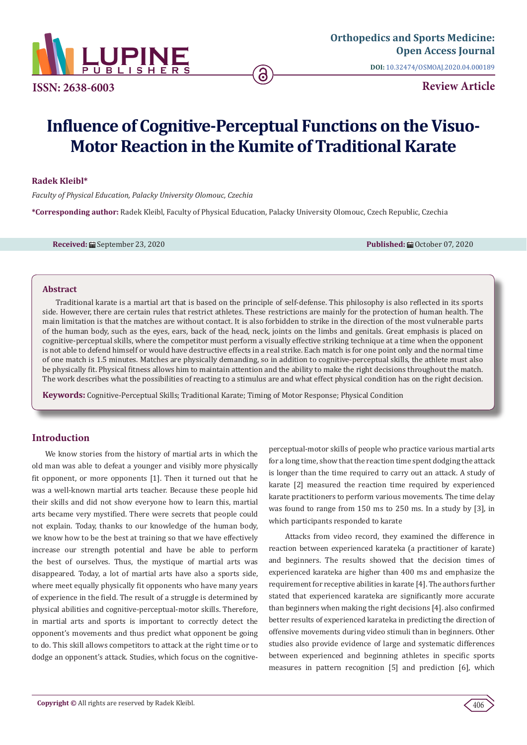

**ISSN: 2638-6003**

**DOI:** [10.32474/OSMOAJ.2020.04.000189](http://dx.doi.org/10.32474/OSMOAJ.2020.04.000189)

**Review Article**

# **Influence of Cognitive-Perceptual Functions on the Visuo-Motor Reaction in the Kumite of Traditional Karate**

**Radek Kleibl\***

*Faculty of Physical Education, Palacky University Olomouc, Czechia*

**\*Corresponding author:** Radek Kleibl, Faculty of Physical Education, Palacky University Olomouc, Czech Republic, Czechia

**Received:** ■ September 23, 2020 **Published:** ■ October 07, 2020

# **Abstract**

Traditional karate is a martial art that is based on the principle of self-defense. This philosophy is also reflected in its sports side. However, there are certain rules that restrict athletes. These restrictions are mainly for the protection of human health. The main limitation is that the matches are without contact. It is also forbidden to strike in the direction of the most vulnerable parts of the human body, such as the eyes, ears, back of the head, neck, joints on the limbs and genitals. Great emphasis is placed on cognitive-perceptual skills, where the competitor must perform a visually effective striking technique at a time when the opponent is not able to defend himself or would have destructive effects in a real strike. Each match is for one point only and the normal time of one match is 1.5 minutes. Matches are physically demanding, so in addition to cognitive-perceptual skills, the athlete must also be physically fit. Physical fitness allows him to maintain attention and the ability to make the right decisions throughout the match. The work describes what the possibilities of reacting to a stimulus are and what effect physical condition has on the right decision.

**Keywords:** Cognitive-Perceptual Skills; Traditional Karate; Timing of Motor Response; Physical Condition

# **Introduction**

We know stories from the history of martial arts in which the old man was able to defeat a younger and visibly more physically fit opponent, or more opponents [1]. Then it turned out that he was a well-known martial arts teacher. Because these people hid their skills and did not show everyone how to learn this, martial arts became very mystified. There were secrets that people could not explain. Today, thanks to our knowledge of the human body, we know how to be the best at training so that we have effectively increase our strength potential and have be able to perform the best of ourselves. Thus, the mystique of martial arts was disappeared. Today, a lot of martial arts have also a sports side, where meet equally physically fit opponents who have many years of experience in the field. The result of a struggle is determined by physical abilities and cognitive-perceptual-motor skills. Therefore, in martial arts and sports is important to correctly detect the opponent's movements and thus predict what opponent be going to do. This skill allows competitors to attack at the right time or to dodge an opponent's attack. Studies, which focus on the cognitiveperceptual-motor skills of people who practice various martial arts for a long time, show that the reaction time spent dodging the attack is longer than the time required to carry out an attack. A study of karate [2] measured the reaction time required by experienced karate practitioners to perform various movements. The time delay was found to range from 150 ms to 250 ms. In a study by [3], in which participants responded to karate

 Attacks from video record, they examined the difference in reaction between experienced karateka (a practitioner of karate) and beginners. The results showed that the decision times of experienced karateka are higher than 400 ms and emphasize the requirement for receptive abilities in karate [4]. The authors further stated that experienced karateka are significantly more accurate than beginners when making the right decisions [4]. also confirmed better results of experienced karateka in predicting the direction of offensive movements during video stimuli than in beginners. Other studies also provide evidence of large and systematic differences between experienced and beginning athletes in specific sports measures in pattern recognition [5] and prediction [6], which

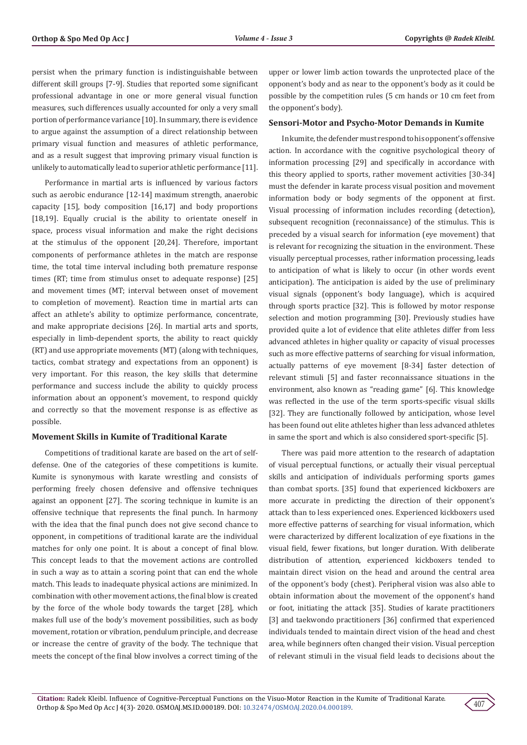persist when the primary function is indistinguishable between different skill groups [7-9]. Studies that reported some significant professional advantage in one or more general visual function measures, such differences usually accounted for only a very small portion of performance variance [10]. In summary, there is evidence to argue against the assumption of a direct relationship between primary visual function and measures of athletic performance, and as a result suggest that improving primary visual function is unlikely to automatically lead to superior athletic performance [11].

Performance in martial arts is influenced by various factors such as aerobic endurance [12-14] maximum strength, anaerobic capacity [15], body composition [16,17] and body proportions [18,19]. Equally crucial is the ability to orientate oneself in space, process visual information and make the right decisions at the stimulus of the opponent [20,24]. Therefore, important components of performance athletes in the match are response time, the total time interval including both premature response times (RT; time from stimulus onset to adequate response) [25] and movement times (MT; interval between onset of movement to completion of movement). Reaction time in martial arts can affect an athlete's ability to optimize performance, concentrate, and make appropriate decisions [26]. In martial arts and sports, especially in limb-dependent sports, the ability to react quickly (RT) and use appropriate movements (MT) (along with techniques, tactics, combat strategy and expectations from an opponent) is very important. For this reason, the key skills that determine performance and success include the ability to quickly process information about an opponent's movement, to respond quickly and correctly so that the movement response is as effective as possible.

### **Movement Skills in Kumite of Traditional Karate**

Competitions of traditional karate are based on the art of selfdefense. One of the categories of these competitions is kumite. Kumite is synonymous with karate wrestling and consists of performing freely chosen defensive and offensive techniques against an opponent [27]. The scoring technique in kumite is an offensive technique that represents the final punch. In harmony with the idea that the final punch does not give second chance to opponent, in competitions of traditional karate are the individual matches for only one point. It is about a concept of final blow. This concept leads to that the movement actions are controlled in such a way as to attain a scoring point that can end the whole match. This leads to inadequate physical actions are minimized. In combination with other movement actions, the final blow is created by the force of the whole body towards the target [28], which makes full use of the body's movement possibilities, such as body movement, rotation or vibration, pendulum principle, and decrease or increase the centre of gravity of the body. The technique that meets the concept of the final blow involves a correct timing of the

upper or lower limb action towards the unprotected place of the opponent's body and as near to the opponent's body as it could be possible by the competition rules (5 cm hands or 10 cm feet from the opponent's body).

### **Sensori-Motor and Psycho-Motor Demands in Kumite**

In kumite, the defender must respond to his opponent's offensive action. In accordance with the cognitive psychological theory of information processing [29] and specifically in accordance with this theory applied to sports, rather movement activities [30-34] must the defender in karate process visual position and movement information body or body segments of the opponent at first. Visual processing of information includes recording (detection), subsequent recognition (reconnaissance) of the stimulus. This is preceded by a visual search for information (eye movement) that is relevant for recognizing the situation in the environment. These visually perceptual processes, rather information processing, leads to anticipation of what is likely to occur (in other words event anticipation). The anticipation is aided by the use of preliminary visual signals (opponent's body language), which is acquired through sports practice [32]. This is followed by motor response selection and motion programming [30]. Previously studies have provided quite a lot of evidence that elite athletes differ from less advanced athletes in higher quality or capacity of visual processes such as more effective patterns of searching for visual information, actually patterns of eye movement [8-34] faster detection of relevant stimuli [5] and faster reconnaissance situations in the environment, also known as "reading game" [6]. This knowledge was reflected in the use of the term sports-specific visual skills [32]. They are functionally followed by anticipation, whose level has been found out elite athletes higher than less advanced athletes in same the sport and which is also considered sport-specific [5].

There was paid more attention to the research of adaptation of visual perceptual functions, or actually their visual perceptual skills and anticipation of individuals performing sports games than combat sports. [35] found that experienced kickboxers are more accurate in predicting the direction of their opponent's attack than to less experienced ones. Experienced kickboxers used more effective patterns of searching for visual information, which were characterized by different localization of eye fixations in the visual field, fewer fixations, but longer duration. With deliberate distribution of attention, experienced kickboxers tended to maintain direct vision on the head and around the central area of the opponent's body (chest). Peripheral vision was also able to obtain information about the movement of the opponent's hand or foot, initiating the attack [35]. Studies of karate practitioners [3] and taekwondo practitioners [36] confirmed that experienced individuals tended to maintain direct vision of the head and chest area, while beginners often changed their vision. Visual perception of relevant stimuli in the visual field leads to decisions about the

407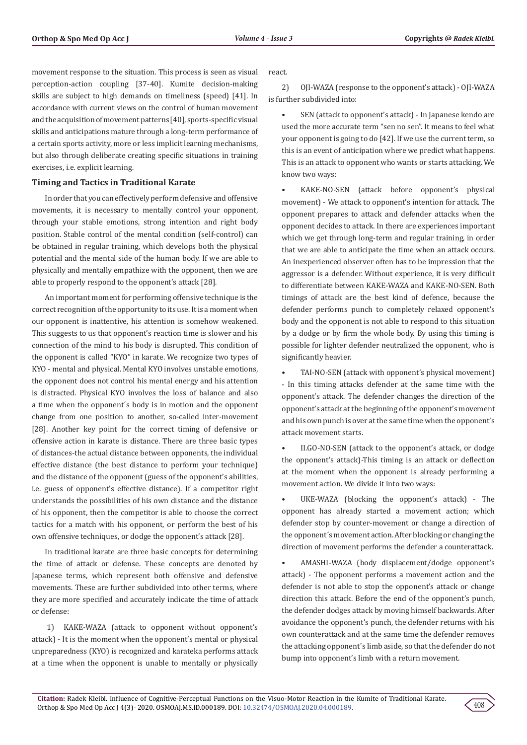movement response to the situation. This process is seen as visual perception-action coupling [37-40]. Kumite decision-making skills are subject to high demands on timeliness (speed) [41]. In accordance with current views on the control of human movement and the acquisition of movement patterns [40], sports-specific visual skills and anticipations mature through a long-term performance of a certain sports activity, more or less implicit learning mechanisms, but also through deliberate creating specific situations in training exercises, i.e. explicit learning.

# **Timing and Tactics in Traditional Karate**

In order that you can effectively perform defensive and offensive movements, it is necessary to mentally control your opponent, through your stable emotions, strong intention and right body position. Stable control of the mental condition (self-control) can be obtained in regular training, which develops both the physical potential and the mental side of the human body. If we are able to physically and mentally empathize with the opponent, then we are able to properly respond to the opponent's attack [28].

An important moment for performing offensive technique is the correct recognition of the opportunity to its use. It is a moment when our opponent is inattentive, his attention is somehow weakened. This suggests to us that opponent's reaction time is slower and his connection of the mind to his body is disrupted. This condition of the opponent is called "KYO" in karate. We recognize two types of KYO - mental and physical. Mental KYO involves unstable emotions, the opponent does not control his mental energy and his attention is distracted. Physical KYO involves the loss of balance and also a time when the opponent´s body is in motion and the opponent change from one position to another, so-called inter-movement [28]. Another key point for the correct timing of defensive or offensive action in karate is distance. There are three basic types of distances-the actual distance between opponents, the individual effective distance (the best distance to perform your technique) and the distance of the opponent (guess of the opponent's abilities, i.e. guess of opponent's effective distance). If a competitor right understands the possibilities of his own distance and the distance of his opponent, then the competitor is able to choose the correct tactics for a match with his opponent, or perform the best of his own offensive techniques, or dodge the opponent's attack [28].

In traditional karate are three basic concepts for determining the time of attack or defense. These concepts are denoted by Japanese terms, which represent both offensive and defensive movements. These are further subdivided into other terms, where they are more specified and accurately indicate the time of attack or defense:

 1) KAKE-WAZA (attack to opponent without opponent's attack) - It is the moment when the opponent's mental or physical unpreparedness (KYO) is recognized and karateka performs attack at a time when the opponent is unable to mentally or physically react.

2) OJI-WAZA (response to the opponent's attack) - OJI-WAZA is further subdivided into:

• SEN (attack to opponent's attack) - In Japanese kendo are used the more accurate term "sen no sen". It means to feel what your opponent is going to do [42]. If we use the current term, so this is an event of anticipation where we predict what happens. This is an attack to opponent who wants or starts attacking. We know two ways:

• KAKE-NO-SEN (attack before opponent's physical movement) - We attack to opponent's intention for attack. The opponent prepares to attack and defender attacks when the opponent decides to attack. In there are experiences important which we get through long-term and regular training, in order that we are able to anticipate the time when an attack occurs. An inexperienced observer often has to be impression that the aggressor is a defender. Without experience, it is very difficult to differentiate between KAKE-WAZA and KAKE-NO-SEN. Both timings of attack are the best kind of defence, because the defender performs punch to completely relaxed opponent's body and the opponent is not able to respond to this situation by a dodge or by firm the whole body. By using this timing is possible for lighter defender neutralized the opponent, who is significantly heavier.

• TAI-NO-SEN (attack with opponent's physical movement) - In this timing attacks defender at the same time with the opponent's attack. The defender changes the direction of the opponent's attack at the beginning of the opponent's movement and his own punch is over at the same time when the opponent's attack movement starts.

II.GO-NO-SEN (attack to the opponent's attack, or dodge the opponent's attack)-This timing is an attack or deflection at the moment when the opponent is already performing a movement action. We divide it into two ways:

UKE-WAZA (blocking the opponent's attack) - The opponent has already started a movement action; which defender stop by counter-movement or change a direction of the opponent´s movement action. After blocking or changing the direction of movement performs the defender a counterattack.

• AMASHI-WAZA (body displacement/dodge opponent's attack) - The opponent performs a movement action and the defender is not able to stop the opponent's attack or change direction this attack. Before the end of the opponent's punch, the defender dodges attack by moving himself backwards. After avoidance the opponent's punch, the defender returns with his own counterattack and at the same time the defender removes the attacking opponent´s limb aside, so that the defender do not bump into opponent's limb with a return movement.

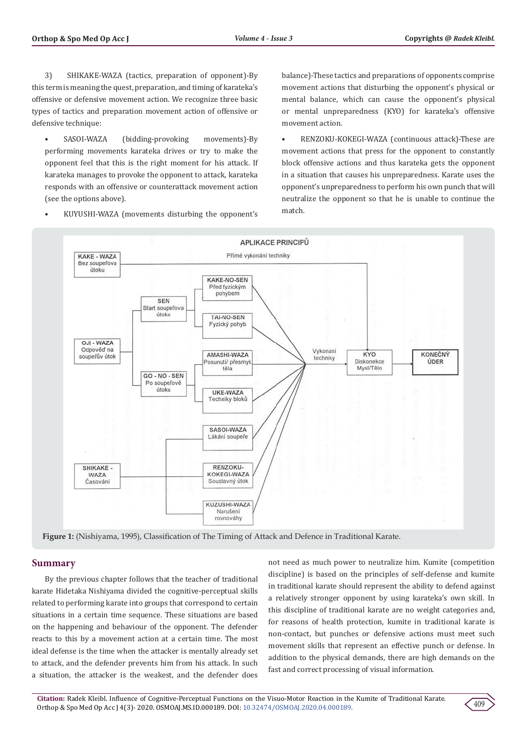movement action.

match.

balance)-These tactics and preparations of opponents comprise movement actions that disturbing the opponent's physical or mental balance, which can cause the opponent's physical or mental unpreparedness (KYO) for karateka's offensive

• RENZOKU-KOKEGI-WAZA (continuous attack)-These are movement actions that press for the opponent to constantly block offensive actions and thus karateka gets the opponent in a situation that causes his unpreparedness. Karate uses the opponent's unpreparedness to perform his own punch that will neutralize the opponent so that he is unable to continue the

3) SHIKAKE-WAZA (tactics, preparation of opponent)-By this term is meaning the quest, preparation, and timing of karateka's offensive or defensive movement action. We recognize three basic types of tactics and preparation movement action of offensive or defensive technique:

• SASOI-WAZA (bidding-provoking movements)-By performing movements karateka drives or try to make the opponent feel that this is the right moment for his attack. If karateka manages to provoke the opponent to attack, karateka responds with an offensive or counterattack movement action (see the options above).



• KUYUSHI-WAZA (movements disturbing the opponent's

**Figure 1:** (Nishiyama, 1995), Classification of The Timing of Attack and Defence in Traditional Karate.

# **Summary**

By the previous chapter follows that the teacher of traditional karate Hidetaka Nishiyama divided the cognitive-perceptual skills related to performing karate into groups that correspond to certain situations in a certain time sequence. These situations are based on the happening and behaviour of the opponent. The defender reacts to this by a movement action at a certain time. The most ideal defense is the time when the attacker is mentally already set to attack, and the defender prevents him from his attack. In such a situation, the attacker is the weakest, and the defender does

not need as much power to neutralize him. Kumite (competition discipline) is based on the principles of self-defense and kumite in traditional karate should represent the ability to defend against a relatively stronger opponent by using karateka's own skill. In this discipline of traditional karate are no weight categories and, for reasons of health protection, kumite in traditional karate is non-contact, but punches or defensive actions must meet such movement skills that represent an effective punch or defense. In addition to the physical demands, there are high demands on the fast and correct processing of visual information.

409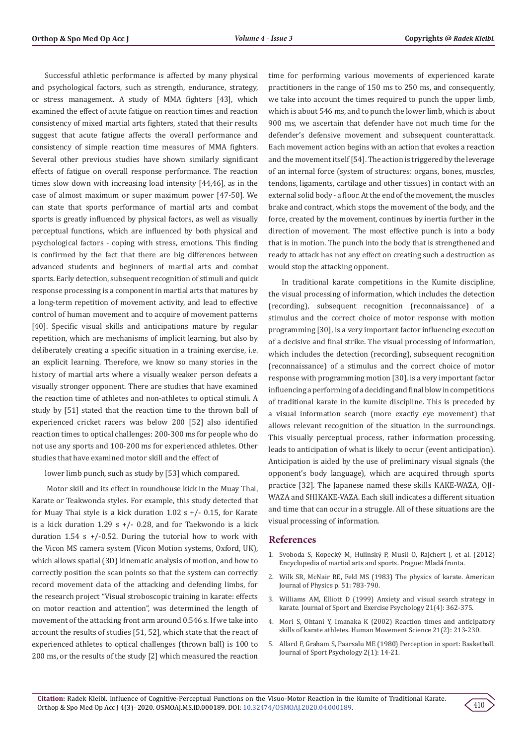Successful athletic performance is affected by many physical and psychological factors, such as strength, endurance, strategy, or stress management. A study of MMA fighters [43], which examined the effect of acute fatigue on reaction times and reaction consistency of mixed martial arts fighters, stated that their results suggest that acute fatigue affects the overall performance and consistency of simple reaction time measures of MMA fighters. Several other previous studies have shown similarly significant effects of fatigue on overall response performance. The reaction times slow down with increasing load intensity [44,46], as in the case of almost maximum or super maximum power [47-50]. We can state that sports performance of martial arts and combat sports is greatly influenced by physical factors, as well as visually perceptual functions, which are influenced by both physical and psychological factors - coping with stress, emotions. This finding is confirmed by the fact that there are big differences between advanced students and beginners of martial arts and combat sports. Early detection, subsequent recognition of stimuli and quick response processing is a component in martial arts that matures by a long-term repetition of movement activity, and lead to effective control of human movement and to acquire of movement patterns [40]. Specific visual skills and anticipations mature by regular repetition, which are mechanisms of implicit learning, but also by deliberately creating a specific situation in a training exercise, i.e. an explicit learning. Therefore, we know so many stories in the history of martial arts where a visually weaker person defeats a visually stronger opponent. There are studies that have examined the reaction time of athletes and non-athletes to optical stimuli. A study by [51] stated that the reaction time to the thrown ball of experienced cricket racers was below 200 [52] also identified reaction times to optical challenges: 200-300 ms for people who do not use any sports and 100-200 ms for experienced athletes. Other studies that have examined motor skill and the effect of

lower limb punch, such as study by [53] which compared.

 Motor skill and its effect in roundhouse kick in the Muay Thai, Karate or Teakwonda styles. For example, this study detected that for Muay Thai style is a kick duration 1.02 s +/- 0.15, for Karate is a kick duration 1.29 s  $+/-$  0.28, and for Taekwondo is a kick duration 1.54 s  $+/-0.52$ . During the tutorial how to work with the Vicon MS camera system (Vicon Motion systems, Oxford, UK), which allows spatial (3D) kinematic analysis of motion, and how to correctly position the scan points so that the system can correctly record movement data of the attacking and defending limbs, for the research project "Visual stroboscopic training in karate: effects on motor reaction and attention", was determined the length of movement of the attacking front arm around 0.546 s. If we take into account the results of studies [51, 52], which state that the react of experienced athletes to optical challenges (thrown ball) is 100 to 200 ms, or the results of the study [2] which measured the reaction

time for performing various movements of experienced karate practitioners in the range of 150 ms to 250 ms, and consequently, we take into account the times required to punch the upper limb, which is about 546 ms, and to punch the lower limb, which is about 900 ms, we ascertain that defender have not much time for the defender's defensive movement and subsequent counterattack. Each movement action begins with an action that evokes a reaction and the movement itself [54]. The action is triggered by the leverage of an internal force (system of structures: organs, bones, muscles, tendons, ligaments, cartilage and other tissues) in contact with an external solid body - a floor. At the end of the movement, the muscles brake and contract, which stops the movement of the body, and the force, created by the movement, continues by inertia further in the direction of movement. The most effective punch is into a body that is in motion. The punch into the body that is strengthened and ready to attack has not any effect on creating such a destruction as would stop the attacking opponent.

In traditional karate competitions in the Kumite discipline, the visual processing of information, which includes the detection (recording), subsequent recognition (reconnaissance) of a stimulus and the correct choice of motor response with motion programming [30], is a very important factor influencing execution of a decisive and final strike. The visual processing of information, which includes the detection (recording), subsequent recognition (reconnaissance) of a stimulus and the correct choice of motor response with programming motion [30], is a very important factor influencing a performing of a deciding and final blow in competitions of traditional karate in the kumite discipline. This is preceded by a visual information search (more exactly eye movement) that allows relevant recognition of the situation in the surroundings. This visually perceptual process, rather information processing, leads to anticipation of what is likely to occur (event anticipation). Anticipation is aided by the use of preliminary visual signals (the opponent's body language), which are acquired through sports practice [32]. The Japanese named these skills KAKE-WAZA, OJI-WAZA and SHIKAKE-VAZA. Each skill indicates a different situation and time that can occur in a struggle. All of these situations are the visual processing of information.

## **References**

- 1. Svoboda S, Kopecký M, Hulinský P, Musil O, Rajchert J, et al. (2012) Encyclopedia of martial arts and sports. Prague: Mladá fronta.
- 2. [Wilk SR, McNair RE, Feld MS \(1983\) The physics of karate. American](https://aapt.scitation.org/doi/10.1119/1.13498) [Journal of Physics p. 51: 783-790.](https://aapt.scitation.org/doi/10.1119/1.13498)
- 3. Williams AM, Elliott D (1999) Anxiety and visual search strategy in karate. Journal of Sport and Exercise Psychology 21(4): 362-375.
- 4. [Mori S, Ohtani Y, Imanaka K \(2002\) Reaction times and anticipatory](https://pubmed.ncbi.nlm.nih.gov/12167300/) [skills of karate athletes. Human Movement Science 21\(2\): 213-230.](https://pubmed.ncbi.nlm.nih.gov/12167300/)
- 5. [Allard F, Graham S, Paarsalu ME \(1980\) Perception in sport: Basketball.](https://psycnet.apa.org/record/1981-25013-001) [Journal of Sport Psychology 2\(1\): 14-21.](https://psycnet.apa.org/record/1981-25013-001)

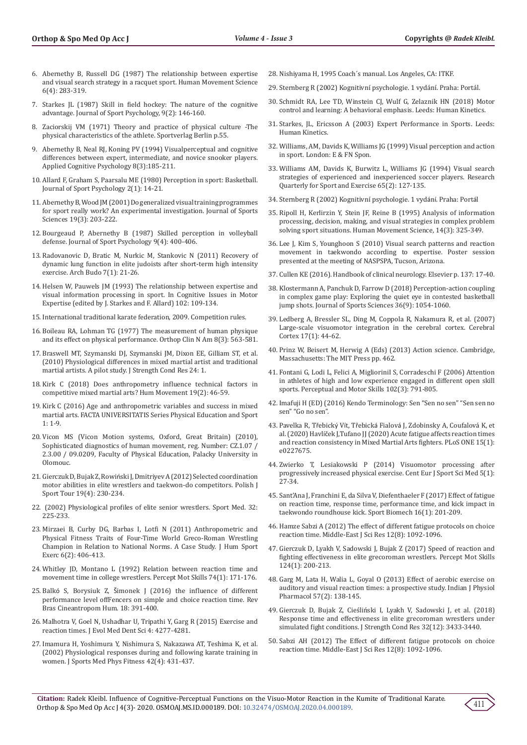- 6. Abernethy B, Russell DG (1987) The relationship between expertise and visual search strategy in a racquet sport. Human Movement Science 6(4): 283-319.
- 7. [Starkes JL \(1987\) Skill in field hockey: The nature of the cognitive](https://www.scienceopen.com/document?vid=b32aa919-0e9c-4a82-b900-a5474e3259d9)  [advantage. Journal of Sport Psychology, 9\(2\): 146-160.](https://www.scienceopen.com/document?vid=b32aa919-0e9c-4a82-b900-a5474e3259d9)
- 8. Zaciorskij VM (1971) Theory and practice of physical culture -The physical characteristics of the athlete. Sportverlag Berlin p.55.
- 9. [Abernethy B, Neal RJ, Koning PV \(1994\) Visualperceptual and cognitive](https://onlinelibrary.wiley.com/doi/abs/10.1002/acp.2350080302)  [differences between expert, intermediate, and novice snooker players.](https://onlinelibrary.wiley.com/doi/abs/10.1002/acp.2350080302)  [Applied Cognitive Psychology 8\(3\):185-211.](https://onlinelibrary.wiley.com/doi/abs/10.1002/acp.2350080302)
- 10. [Allard F, Graham S, Paarsalu ME \(1980\) Perception in sport: Basketball.](https://psycnet.apa.org/record/1981-25013-001)  [Journal of Sport Psychology 2\(1\): 14-21.](https://psycnet.apa.org/record/1981-25013-001)
- 11. [Abernethy B, Wood JM \(2001\) Do generalized visual training programmes](https://pubmed.ncbi.nlm.nih.gov/11256825/)  [for sport really work? An experimental investigation. Journal of Sports](https://pubmed.ncbi.nlm.nih.gov/11256825/)  [Sciences 19\(3\): 203-222.](https://pubmed.ncbi.nlm.nih.gov/11256825/)
- 12. [Bourgeaud P, Abernethy B \(1987\) Skilled perception in volleyball](https://journals.humankinetics.com/view/journals/jsep/9/4/article-p400.xml)  [defense. Journal of Sport Psychology 9\(4\): 400-406.](https://journals.humankinetics.com/view/journals/jsep/9/4/article-p400.xml)
- 13. [Radovanovic D, Bratic M, Nurkic M, Stankovic N \(2011\) Recovery of](https://www.researchgate.net/publication/286979498_Recovery_of_dynamic_lung_function_in_elite_judoists_after_short-term_high_intensity_exercise)  [dynamic lung function in elite judoists after short-term high intensity](https://www.researchgate.net/publication/286979498_Recovery_of_dynamic_lung_function_in_elite_judoists_after_short-term_high_intensity_exercise)  [exercise. Arch Budo 7\(1\): 21-26.](https://www.researchgate.net/publication/286979498_Recovery_of_dynamic_lung_function_in_elite_judoists_after_short-term_high_intensity_exercise)
- 14. [Helsen W, Pauwels JM \(1993\) The relationship between expertise and](https://www.sciencedirect.com/science/article/pii/S0166411508614685)  [visual information processing in sport. In Cognitive Issues in Motor](https://www.sciencedirect.com/science/article/pii/S0166411508614685)  [Expertise \(edited by J. Starkes and F. Allard\) 102: 109-134.](https://www.sciencedirect.com/science/article/pii/S0166411508614685)
- 15. International traditional karate federation, 2009. Competition rules.
- 16. [Boileau RA, Lohman TG \(1977\) The measurement of human physique](https://pubmed.ncbi.nlm.nih.gov/887247/)  [and its effect on physical performance. Orthop Clin N Am 8\(3\): 563-581.](https://pubmed.ncbi.nlm.nih.gov/887247/)
- 17. [Braswell MT, Szymanski DJ, Szymanski JM, Dixon EE, Gilliam ST, et al.](https://www.researchgate.net/publication/325798320_Physiological_Differences_In_Mixed_Martial_Artist_And_Traditional_Martial_Artists_A_Pilot_Study)  [\(2010\) Physiological differences in mixed martial artist and traditional](https://www.researchgate.net/publication/325798320_Physiological_Differences_In_Mixed_Martial_Artist_And_Traditional_Martial_Artists_A_Pilot_Study)  [martial artists. A pilot study. J Strength Cond Res 24: 1.](https://www.researchgate.net/publication/325798320_Physiological_Differences_In_Mixed_Martial_Artist_And_Traditional_Martial_Artists_A_Pilot_Study)
- 18. [Kirk C \(2018\) Does anthropometry influence technical factors in](https://www.researchgate.net/publication/325180899_Does_Anthropometry_Influence_Technical_Factors_in_Professional_Mixed_Martial_Arts)  [competitive mixed martial arts? Hum Movement 19\(2\): 46-59.](https://www.researchgate.net/publication/325180899_Does_Anthropometry_Influence_Technical_Factors_in_Professional_Mixed_Martial_Arts)
- 19. [Kirk C \(2016\) Age and anthropometric variables and success in mixed](https://www.researchgate.net/publication/309666641_Age_and_anthropometric_variables_and_success_in_mixed_martial_arts)  [martial arts. FACTA UNIVERSITATIS Series Physical Education and Sport](https://www.researchgate.net/publication/309666641_Age_and_anthropometric_variables_and_success_in_mixed_martial_arts)   $1: 1-9.$
- 20. Vicon MS (Vicon Motion systems, Oxford, Great Britain) (2010), Sophisticated diagnostics of human movement, reg. Number: CZ.1.07 / 2.3.00 / 09.0209, Faculty of Physical Education, Palacky University in Olomouc.
- 21. Gierczuk D, Bujak Z, Rowiń[ski J, Dmitriyev A \(2012\) Selected coordination](https://content.sciendo.com/view/journals/pjst/19/4/article-p230.xml?language=en)  [motor abilities in elite wrestlers and taekwon-do competitors. Polish J](https://content.sciendo.com/view/journals/pjst/19/4/article-p230.xml?language=en)  [Sport Tour 19\(4\): 230-234.](https://content.sciendo.com/view/journals/pjst/19/4/article-p230.xml?language=en)
- 22. (2002) Physiological profiles of elite senior wrestlers. Sport Med. 32: 225-233.
- 23. [Mirzaei B, Curby DG, Barbas I, Lotfi N \(2011\) Anthropometric and](https://www.researchgate.net/publication/228474321_Anthropometric_and_physical_fitness_traits_of_four-time_World_Greco-Roman_wrestling_champion_in_relation_to_national_norms_A_case_study)  [Physical Fitness Traits of Four-Time World Greco-Roman Wrestling](https://www.researchgate.net/publication/228474321_Anthropometric_and_physical_fitness_traits_of_four-time_World_Greco-Roman_wrestling_champion_in_relation_to_national_norms_A_case_study)  [Champion in Relation to National Norms. A Case Study. J Hum Sport](https://www.researchgate.net/publication/228474321_Anthropometric_and_physical_fitness_traits_of_four-time_World_Greco-Roman_wrestling_champion_in_relation_to_national_norms_A_case_study)  [Exerc 6\(2\): 406-413.](https://www.researchgate.net/publication/228474321_Anthropometric_and_physical_fitness_traits_of_four-time_World_Greco-Roman_wrestling_champion_in_relation_to_national_norms_A_case_study)
- 24. [Whitley JD, Montano L \(1992\) Relation between reaction time and](https://journals.sagepub.com/doi/10.2466/pms.1992.74.1.171)  [movement time in college wrestlers. Percept Mot Skills 74\(1\): 171-176.](https://journals.sagepub.com/doi/10.2466/pms.1992.74.1.171)
- 25. Balkó S, Borysiuk Z, Š[imonek J \(2016\) the influence of different](https://www.scielo.br/scielo.php?pid=S1980-00372016000400391&script=sci_arttext&tlng=en)  [performance level offFencers on simple and choice reaction time. Rev](https://www.scielo.br/scielo.php?pid=S1980-00372016000400391&script=sci_arttext&tlng=en)  [Bras Cineantropom Hum. 18: 391-400.](https://www.scielo.br/scielo.php?pid=S1980-00372016000400391&script=sci_arttext&tlng=en)
- 26. Malhotra V, Goel N, Ushadhar U, Tripathi Y, Garg R (2015) Exercise and reaction times. J Evol Med Dent Sci 4: 4277-4281.
- 27. [Imamura H, Yoshimura Y, Nishimura S, Nakazawa AT, Teshima K, et al.](https://pubmed.ncbi.nlm.nih.gov/12391437/)  [\(2002\) Physiological responses during and following karate training in](https://pubmed.ncbi.nlm.nih.gov/12391437/)  [women. J Sports Med Phys Fitness 42\(4\): 431-437.](https://pubmed.ncbi.nlm.nih.gov/12391437/)
- 28. Nishiyama H, 1995 Coach´s manual. Los Angeles, CA: ITKF.
- 29. Sternberg R (2002) Kognitivní psychologie. 1 vydání. Praha: Portál.
- 30. Schmidt RA, Lee TD, Winstein CJ, Wulf G, Zelaznik HN (2018) Motor control and learning: A behavioral emphasis. Leeds: Human Kinetics.
- 31. Starkes, JL, Ericsson A (2003) Expert Performance in Sports. Leeds: Human Kinetics.
- 32. Williams, AM, Davids K, Williams JG (1999) Visual perception and action in sport. London: E & FN Spon.
- 33. [Williams AM, Davids K, Burwitz L, Williams JG \(1994\) Visual search](https://pubmed.ncbi.nlm.nih.gov/8047704/) [strategies of experienced and inexperienced soccer players. Research](https://pubmed.ncbi.nlm.nih.gov/8047704/) [Quarterly for Sport and Exercise 65\(2\): 127-135.](https://pubmed.ncbi.nlm.nih.gov/8047704/)
- 34. Sternberg R (2002) Kognitivní psychologie. 1 vydání. Praha: Portál
- 35. [Ripoll H, Kerlirzin Y, Stein JF, Reine B \(1995\) Analysis of information](https://www.sciencedirect.com/science/article/abs/pii/016794579500019O) [processing, decision, making, and visual strategies in complex problem](https://www.sciencedirect.com/science/article/abs/pii/016794579500019O) [solving sport situations. Human Movement Science, 14\(3\): 325-349.](https://www.sciencedirect.com/science/article/abs/pii/016794579500019O)
- 36. Lee J, Kim S, Younghoon S (2010) Visual search patterns and reaction movement in taekwondo according to expertise. Poster session presented at the meeting of NASPSPA, Tucson, Arizona.
- 37. Cullen KE (2016). Handbook of clinical neurology. Elsevier p. 137: 17-40.
- 38. [Klostermann A, Panchuk D, Farrow D \(2018\) Perception-action coupling](https://pubmed.ncbi.nlm.nih.gov/28707506/) [in complex game play: Exploring the quiet eye in contested basketball](https://pubmed.ncbi.nlm.nih.gov/28707506/) [jump shots. Journal of Sports Sciences 36\(9\): 1054-1060.](https://pubmed.ncbi.nlm.nih.gov/28707506/)
- 39. [Ledberg A, Bressler SL, Ding M, Coppola R, Nakamura R, et al. \(2007\)](https://pubmed.ncbi.nlm.nih.gov/16452643/) [Large-scale visuomotor integration in the cerebral cortex. Cerebral](https://pubmed.ncbi.nlm.nih.gov/16452643/) [Cortex 17\(1\): 44-62.](https://pubmed.ncbi.nlm.nih.gov/16452643/)
- 40. [Prinz W, Beisert M, Herwig A \(Eds\) \(2013\) Action science. Cambridge,](https://mitpress.mit.edu/books/action-science) [Massachusetts: The MIT Press pp. 462.](https://mitpress.mit.edu/books/action-science)
- 41. [Fontani G, Lodi L, Felici A, MiglioriniI S, Corradeschi F \(2006\) Attention](https://pubmed.ncbi.nlm.nih.gov/16916159/) [in athletes of high and low experience engaged in different open skill](https://pubmed.ncbi.nlm.nih.gov/16916159/) [sports. Perceptual and Motor Skills 102\(3\): 791-805.](https://pubmed.ncbi.nlm.nih.gov/16916159/)
- 42. [Imafuji H \(ED\) \(2016\) Kendo Terminology: Sen "Sen no sen" "Sen sen no](https://www.kendo-guide.com/terminology_sen.html) [sen" "Go no sen".](https://www.kendo-guide.com/terminology_sen.html)
- 43. Pavelka R, Třebický Vít, Třebická Fialová J, Zdobinsky A, Coufalová K, et al. (2020) Havlíček J,Tufano JJ (2020) Acute fatigue affects reaction times and reaction consistency in Mixed Martial Arts fighters. PLoS ONE 15(1): e0227675.
- 44. [Zwierko T, Lesiakowski P \(2014\) Visuomotor processing after](http://psjd.icm.edu.pl/psjd/element/bwmeta1.element.psjd-f6b0055e-a097-4697-95be-89d883013713) [progressively increased physical exercise. Cent Eur J Sport Sci Med 5\(1\):](http://psjd.icm.edu.pl/psjd/element/bwmeta1.element.psjd-f6b0055e-a097-4697-95be-89d883013713) [27-34.](http://psjd.icm.edu.pl/psjd/element/bwmeta1.element.psjd-f6b0055e-a097-4697-95be-89d883013713)
- 45. [Sant'Ana J, Franchini E, da Silva V, Diefenthaeler F \(2017\) Effect of fatigue](https://www.researchgate.net/publication/280611615_Effect_of_fatigue_in_roundhouse_kick) [on reaction time, response time, performance time, and kick impact in](https://www.researchgate.net/publication/280611615_Effect_of_fatigue_in_roundhouse_kick) [taekwondo roundhouse kick. Sport Biomech 16\(1\): 201-209.](https://www.researchgate.net/publication/280611615_Effect_of_fatigue_in_roundhouse_kick)
- 46. [Hamze Sabzi A \(2012\) The effect of different fatigue protocols on choice](https://www.researchgate.net/publication/286105819_The_effect_of_different_fatigue_protocols_on_choice_reaction_time) [reaction time. Middle-East J Sci Res 12\(8\): 1092-1096.](https://www.researchgate.net/publication/286105819_The_effect_of_different_fatigue_protocols_on_choice_reaction_time)
- 47. [Gierczuk D, Lyakh V, Sadowski J, Bujak Z \(2017\) Speed of reaction and](https://pubmed.ncbi.nlm.nih.gov/27703063/) [fighting effectiveness in elite grecoroman wrestlers. Percept Mot Skills](https://pubmed.ncbi.nlm.nih.gov/27703063/) [124\(1\): 200-213.](https://pubmed.ncbi.nlm.nih.gov/27703063/)
- 48. [Garg M, Lata H, Walia L, Goyal O \(2013\) Effect of aerobic exercise on](https://pubmed.ncbi.nlm.nih.gov/24617163/) [auditory and visual reaction times: a prospective study. Indian J Physiol](https://pubmed.ncbi.nlm.nih.gov/24617163/) [Pharmacol 57\(2\): 138-145.](https://pubmed.ncbi.nlm.nih.gov/24617163/)
- 49. [Gierczuk D, Bujak Z, Cieśliński I, Lyakh V, Sadowski J, et al. \(2018\)](https://pubmed.ncbi.nlm.nih.gov/30335716/) [Response time and effectiveness in elite grecoroman wrestlers under](https://pubmed.ncbi.nlm.nih.gov/30335716/) [simulated fight conditions. J Strength Cond Res 32\(12\): 3433-3440.](https://pubmed.ncbi.nlm.nih.gov/30335716/)
- 50. [Sabzi AH \(2012\) The Effect of different fatigue protocols on choice](https://www.researchgate.net/publication/286105819_The_effect_of_different_fatigue_protocols_on_choice_reaction_time) [reaction time. Middle-East J Sci Res 12\(8\): 1092-1096.](https://www.researchgate.net/publication/286105819_The_effect_of_different_fatigue_protocols_on_choice_reaction_time)